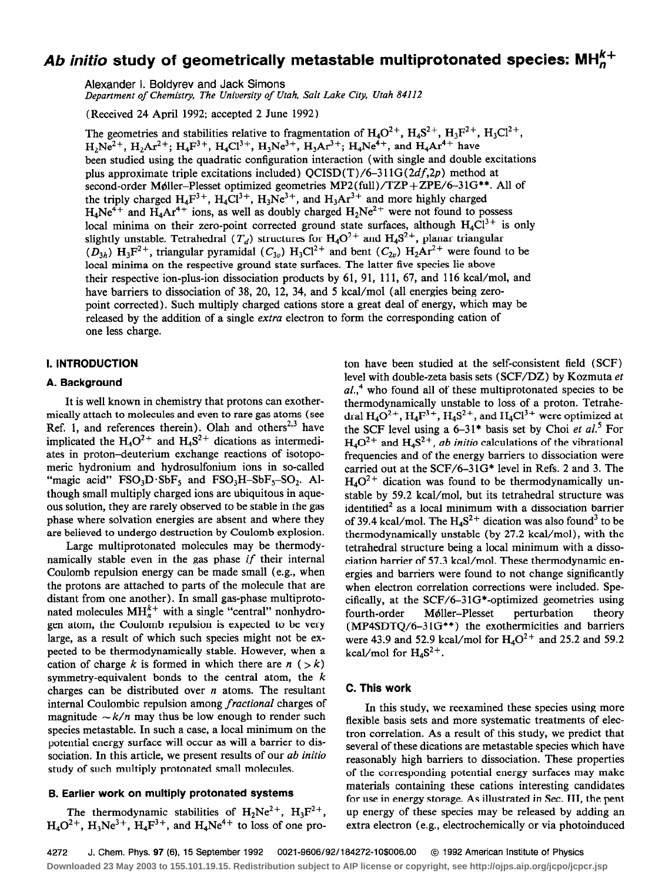# Ab initio study of geometrically metastable multiprotonated species:  $MH<sub>n</sub><sup>K+</sup>$

Alexander I. Boldyrev and Jack Simons

Department of Chemistry, The University of Utah, Salt Lake City, Utah 84112

(Received 24 April 1992; accepted 2 June 1992)

The geometries and stabilities relative to fragmentation of  $H_4O^{2+}$ ,  $H_4S^{2+}$ ,  $H_3F^{2+}$ ,  $H_3Cl^{2+}$ ,  $H_2N_2e^{2+}$ ,  $H_2Ar^{2+}$ ;  $H_4F^{3+}$ ,  $H_4Cl^{3+}$ ,  $H_3Ne^{3+}$ ,  $H_3Ar^{3+}$ ;  $H_4Ne^{4+}$ , and  $H_4Ar^{4+}$  have been studied using the quadratic configuration interaction (with single and double excitations plus approximate triple excitations included)  $OCISD(T)/6-311G(2df,2p)$  method at second-order Møller-Plesset optimized geometries MP2(full)/TZP + ZPE/6-31G\*\*. All of the triply charged  $H_4F^{3+}$ ,  $H_4Cl^{3+}$ ,  $H_3Ne^{3+}$ , and  $H_3Ar^{3+}$  and more highly charged  $H_4Ne^{4+}$  and  $H_4Ar^{4+}$  ions, as well as doubly charged  $H_2Ne^{2+}$  were not found to possess local minima on their zero-point corrected ground state surfaces, although  $H_4Cl^{3+}$  is only slightly unstable. Tetrahedral  $(T_d)$  structures for  $H_4O^{2+}$  and  $H_4S^{2+}$ , planar triangular  $(D_{3h})$   $H_3F^2$ <sup>+</sup>, triangular pyramidal  $(C_{3v})$   $H_3Cl^2$ <sup>+</sup> and bent  $(C_{2v})$   $H_2Ar^2$ <sup>+</sup> were found to be local minima on the respective ground state surfaces. The latter five species lie above their respective ion-plus-ion dissociation products by  $61$ ,  $91$ ,  $111$ ,  $67$ , and  $116$  kcal/mol, and have barriers to dissociation of 38, 20, 12, 34, and 5 kcal/mol (all energies being zeropoint corrected). Such multiply charged cations store a great deal of energy, which may be released by the addition of a single *extra* electron to form the corresponding cation of one less charge.

# 1. INTRODUCTION

#### A. Background

It is well known in chemistry that protons can exothermically attach to molecules and even to rare gas atoms (see Ref. 1, and references therein). Olah and others<sup>2,3</sup> have implicated the  $H_4O^{2+}$  and  $H_4S^{2+}$  dications as intermediates in proton-deuterium exchange reactions of isotopomeric hydronium and hydrosulfonium ions in so-called "magic acid"  $FSO_3D\cdot SbF_5$  and  $FSO_3H-SbF_5-SO_2$ . Although small multiply charged ions are ubiquitous in aqueous solution, they are rarely observed to be stable in the gas phase where solvation energies are absent and where they are believed to undergo destruction by Coulomb explosion.

Large multiprotonated molecules may be thermodynamically stable even in the gas phase if their internal Coulomb repulsion energy can be made small (e.g., when the protons are attached to parts of the molecule that are distant from one another). In small gas-phase multiprotonated molecules  $MH_n^{k+}$  with a single "central" nonhydrogen atom, the Coulomb repulsion is expected to be very large, as a result of which such species might not be expected to be thermodynamically stable. However, when a cation of charge k is formed in which there are  $n$  ( $> k$ ) symmetry-equivalent bonds to the central atom, the  $k$ charges can be distributed over  $n$  atoms. The resultant internal Coulombic repulsion among fractional charges of magnitude  $\sim k/n$  may thus be low enough to render such species metastable. In such a case, a local minimum on the potential energy surface will occur as will a barrier to dissociation. In this article, we present results of our *ab initio* study of such multiply protonated small molecules.

#### B. Earlier work on multiply protonated systems

The thermodynamic stabilities of  $H_2Ne^{2+}$ ,  $H_3F^{2+}$ ,  $H_4O^{2+}$ ,  $H_3Ne^{3+}$ ,  $H_4F^{3+}$ , and  $H_4Ne^{4+}$  to loss of one proton have been studied at the self-consistent field (SCF) level with double-zeta basis sets (SCF/DZ) by Kozmuta el  $al.,<sup>4</sup>$  who found all of these multiprotonated species to be thermodynamically unstable to loss of a proton. Tetrahedral  $H_4O^{2+}$ ,  $H_4F^{3+}$ ,  $H_4S^{2+}$ , and  $H_4Cl^{3+}$  were optimized at the SCF level using a  $6-31^*$  basis set by Choi *et al.* For  $H_4O^{2+}$  and  $H_4S^{2+}$ , ab initio calculations of the vibrational frequencies and of the energy barriers to dissociation were carried out at the SCF/6-31G\* level in Refs. 2 and 3. The  $H_4O^{2+}$  dication was found to be thermodynamically unstable by 59.2 kcal/mol, but its tetrahedral structure was identified' as a local minimum with a dissociation barrier of 39.4 kcal/mol. The  $H_4S^2$ <sup>+</sup> dication was also found<sup>3</sup> to be thermodynamically unstable (by 27.2 kcal/mol), with the tetrahedral structure being a local minimum with a dissociation barrier of 57.3 kcal/mol. These thermodynamic energies and barriers were found to not change significantly when electron correlation corrections were included. Specifically, at the SCF/6-31G\*-optimized geometries using fourth-order Møller-Plesset perturbation theory (MP4SDTQ/6-31G\*\*) the exothermicities and barriers were 43.9 and 52.9 kcal/mol for  $H_4O^{2+}$  and 25.2 and 59.2 kcal/mol for  $H_4S^{2+}$ .

# C. This work

In this study, we reexamined these species using more flexible basis sets and more systematic treatments of electron correlation. As a result of this study, we predict that several of these dications are metastable species which have reasonably high barriers to dissociation. These properties of the corresponding potential energy surfaces may make materials containing these cations interesting candidates for use in energy storage. As illustrated in Sec. III, the pent up energy of these species may be released by adding an extra electron (e.g., electrochemically or via photoinduced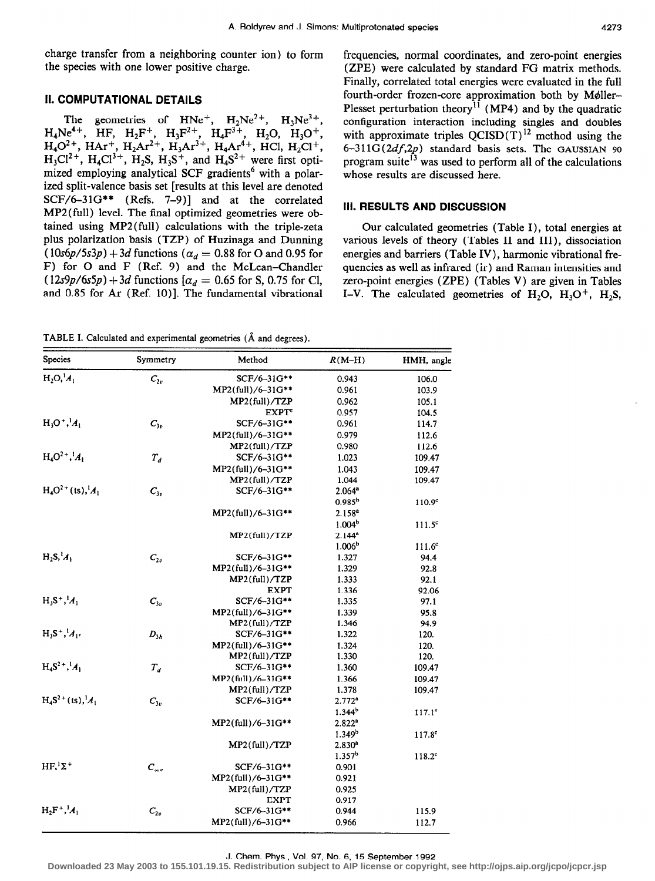charge transfer from a neighboring counter ion) to form the species with one lower positive charge.

# II. COMPUTATIONAL DETAILS

The geometries of  $HNe^{+}$ ,  $H_2Ne^{2+}$ ,  $H_3Ne^{3+}$ ,  $H_4N$ e<sup>4+</sup>, HF, H<sub>2</sub>F<sup>+</sup>, H<sub>3</sub>F<sup>2++</sup>, H<sub>4</sub>F<sup>3++</sup>, H<sub>2</sub>O, H<sub>3</sub>O<sup>+</sup>  $H_4O^{2+}$ , HAr<sup>+</sup>, H<sub>2</sub>Ar<sup>2+</sup>, H<sub>3</sub>Ar<sup>2+</sup>, H<sub>4</sub>Ar<sup>++</sup>, HCl, H<sub>2</sub>Cl<sup>+</sup>  $H_3Cl^2$ <sup>+</sup>,  $H_4Cl^3$ <sup>+</sup>,  $H_2S$ ,  $H_3S^+$ , and  $H_4S^2$ <sup>+</sup> were first optimized employing analytical SCF gradients<sup>6</sup> with a polarized split-valence basis set [results at this level are denoted SCF/6-31G\*\* (Refs. 7-9)] and at the correlated MP2(full) level. The final optimized geometries were obtained using MP2(full) calculations with the triple-zeta plus polarization basis (TZP) of Huzinaga and Dunning  $(10s6p/5s3p) + 3d$  functions ( $\alpha_d = 0.88$  for O and 0.95 for F) for 0 and F (Ref. 9) and the McLean-Chandler  $(12s9p/6s5p) +3d$  functions  $[\alpha_d = 0.65$  for S, 0.75 for Cl, and 0.85 for Ar (Ref. 10)]. The fundamental vibrational

TABLE I. Calculated and experimental geometries (A and degrees).

frequencies, normal coordinates, and zero-point energies (ZPE) were calculated by standard FG matrix methods. Finally, correlated total energies were evaluated in the full fourth-order frozen-core approximation both by Møller-Plesset perturbation theory<sup>11</sup> (MP4) and by the quadratic configuration interaction including singles and doubles with approximate triples  $QCISD(T)^{12}$  method using the  $6-311G(2df,2p)$  standard basis sets. The GAUSSIAN 90 program suite<sup>13</sup> was used to perform all of the calculations whose results are discussed here.

# Ill. RESULTS AND DISCUSSION

Our calculated geometries (Table I), total energies at various levels of theory (Tables II and III), dissociation energies and barriers (Table IV), harmonic vibrational frequencies as well as infrared (ir) and Raman intensities and zero-point energies (ZPE) (Tables V) are given in Tables I-V. The calculated geometries of  $H_2O$ ,  $H_3O^+$ ,  $H_2S$ ,

| <b>Species</b>              | Symmetry           | Method                   | $R(M-H)$             | HMH, angle         |
|-----------------------------|--------------------|--------------------------|----------------------|--------------------|
| $H_2O, ^1A_1$               | $C_{2v}$           | SCF/6-31G**              | 0.943                | 106.0              |
|                             |                    | MP2(full)/6-31G**        | 0.961                | 103.9              |
|                             |                    | MP2(full)/TZP            | 0.962                | 105.1              |
|                             |                    | <b>EXPT</b> <sup>e</sup> | 0.957                | 104.5              |
| $H_3O^+, M_1$               | $C_{3v}$           | SCF/6-31G**              | 0.961                | 114.7              |
|                             |                    | MP2(full)/6-31G**        | 0.979                | 112.6              |
|                             |                    | MP2(full)/TZP            | 0.980                | 112.6              |
| $H_4O^{2+}$ , $A_1$         | $T_d$              | SCF/6-31G**              | 1.023                | 109.47             |
|                             |                    | MP2(full)/6-31G**        | 1.043                | 109.47             |
|                             |                    | MP2(full)/TZP            | 1.044                | 109.47             |
| $H_4O^{2+}$ (ts), ${}^1A_1$ | $C_{3v}$           | SCF/6-31G**              | $2.064$ <sup>*</sup> |                    |
|                             |                    |                          | $0.985^{b}$          | 110.9 <sup>c</sup> |
|                             |                    | MP2(full)/6-31G**        | $2.158^{a}$          |                    |
|                             |                    |                          | 1.004 <sup>b</sup>   | $111.5^\circ$      |
|                             |                    | MP2(full)/TZP            | $2.144^{a}$          |                    |
|                             |                    |                          | 1.006 <sup>b</sup>   | $111.6^c$          |
| $H_2S, \mathcal{M}_1$       | $C_{2v}$           | SCF/6-31G**              | 1.327                | 94.4               |
|                             |                    | MP2(full)/6-31G**        | 1.329                | 92.8               |
|                             |                    | MP2(full)/TZP            | 1.333                | 92.1               |
|                             |                    | <b>EXPT</b>              | 1.336                | 92.06              |
| $H_3S^+, M_1$               | $C_{3v}$           | SCF/6-31G**              | 1.335                | 97.1               |
|                             |                    | MP2(full)/6-31G**        | 1.339                | 95.8               |
|                             |                    | $MP2$ (full)/TZP         | 1.346                | 94.9               |
| $H_3S^+$ , $A_1$            | $D_{3h}$           | SCF/6-31G**              | 1.322                | 120.               |
|                             |                    | MP2(full)/6-31G**        | 1.324                | 120.               |
|                             |                    | $MP2$ (full)/TZP         | 1.330                | 120.               |
| $H_4S^{2+1}A_1$             | $T_d$              | SCF/6-31G**              | 1.360                | 109.47             |
|                             |                    | MP2(full)/6-31G**        | 1.366                | 109.47             |
|                             |                    | $MP2$ (full)/TZP         | 1.378                | 109.47             |
| $H_4S^{2+}$ (ts), ${}^1A_1$ | $C_{3v}$           | SCF/6-31G**              | 2.772 <sup>a</sup>   |                    |
|                             |                    |                          | $1.344^{b}$          | $117.1^{\circ}$    |
|                             |                    | MP2(full)/6-31G**        | 2.822 <sup>a</sup>   |                    |
|                             |                    |                          | 1.349 <sup>b</sup>   | $117.8^{c}$        |
|                             |                    | MP2(full)/TZP            | 2.830 <sup>a</sup>   |                    |
|                             |                    |                          | 1.357 <sup>b</sup>   | $118.2^c$          |
| $HF1\Sigma+$                | $C_{\infty}$       | SCF/6-31G**              | 0.901                |                    |
|                             |                    | MP2(full)/6-31G**        | 0.921                |                    |
|                             |                    | $MP2$ (full)/TZP         | 0.925                |                    |
|                             |                    | <b>EXPT</b>              | 0.917                |                    |
| $H_2F^+, A_1$               | $\mathcal{C}_{2v}$ | SCF/6-31G**              | 0.944                | 115.9              |
|                             |                    | MP2(full)/6-31G**        | 0.966                | 112.7              |

#### J. Chem. Phys., Vol. 97, No. 6, 15 September 1992

**Downloaded 23 May 2003 to 155.101.19.15. Redistribution subject to AIP license or copyright, see http://ojps.aip.org/jcpo/jcpcr.jsp**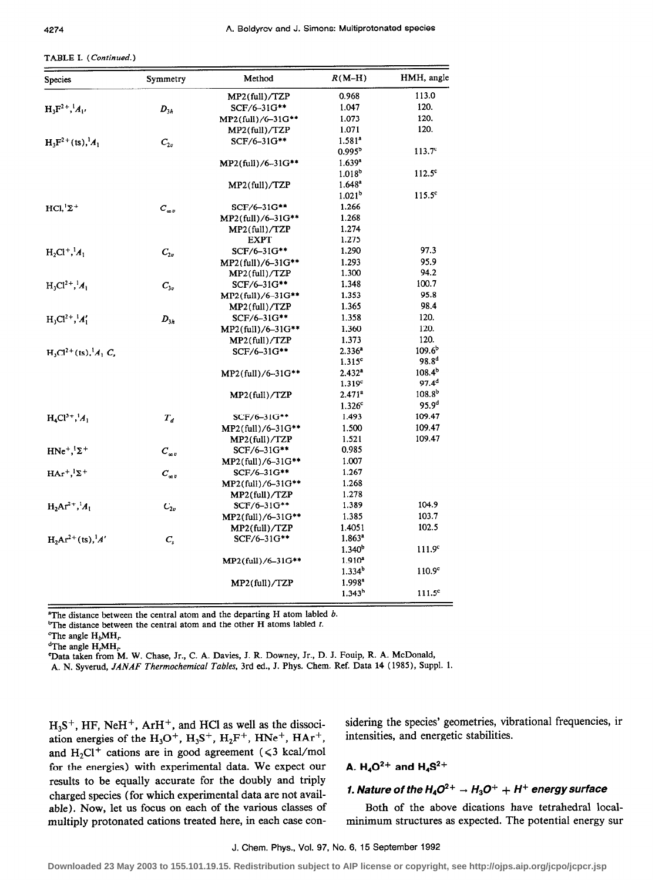|  | <b>TABLE I.</b> (Continued.) |  |
|--|------------------------------|--|
|--|------------------------------|--|

| Species                         | Symmetry       | Method               | $R(M-H)$           | HMH, angle         |
|---------------------------------|----------------|----------------------|--------------------|--------------------|
|                                 |                | MP2(full)/TZP        | 0.968              | 113.0              |
| $H_3F^{2+1}A_1$                 | $D_{3h}$       | SCF/6-31G**          | 1.047              | 120.               |
|                                 |                | MP2(full)/6-31G**    | 1.073              | 120.               |
|                                 |                | $MP2$ (full)/TZP     | 1.071              | 120.               |
| $H_3F^{2+}$ (ts), ${}^1A_1$     | $C_{2v}$       | SCF/6-31G**          | 1.581 <sup>a</sup> |                    |
|                                 |                |                      | $0.995^{\circ}$    | $113.7^c$          |
|                                 |                | MP2(full)/6-31G**    | 1.639 <sup>a</sup> |                    |
|                                 |                |                      | 1.018 <sup>b</sup> | $112.5^{\circ}$    |
|                                 |                | $MP2$ (full)/TZP     | $1.648^a$          |                    |
|                                 |                |                      | 1.021 <sup>b</sup> | $115.5^{\circ}$    |
| $HCl, Z^+$                      | $C_{\omega v}$ | SCF/6-31G**          | 1.266              |                    |
|                                 |                | MP2(full)/6-31G**    | 1.268              |                    |
|                                 |                | $MP2$ (full)/TZP     | 1.274              |                    |
|                                 |                | <b>EXPT</b>          | 1.275              |                    |
| $H_2Cl^+, A_1$                  | $C_{2v}$       | SCF/6-31G**          | 1.290              | 97.3               |
|                                 |                | $MP2$ (full)/6-31G** | 1.293              | 95.9               |
|                                 |                | $MP2$ (full)/TZP     | 1.300              | 94.2               |
| $H_3Cl^{2+}$ , $A_1$            | $C_{3v}$       | SCF/6-31G**          | 1.348              | 100.7              |
|                                 |                | $MP2$ (full)/6-31G** | 1.353              | 95.8               |
|                                 |                | $MP2$ (full)/TZP     | 1.365              | 98.4               |
| $H_3Cl^{2+}, {}^{1}A'_1$        | $D_{3h}$       | SCF/6-31G**          | 1.358              | 120.               |
|                                 |                | $MP2$ (full)/6-31G** | 1.360              | 120.               |
|                                 |                | $MP2$ (full)/TZP     | 1.373              | 120.               |
| $H_3Cl^{2+}(ts), \, {}^1A_1C_2$ |                | SCF/6-31G**          | $2.336^{a}$        | $109.6^{\circ}$    |
|                                 |                |                      | 1.315 <sup>c</sup> | 98.8 <sup>d</sup>  |
|                                 |                | MP2(full)/6-31G**    | 2.432 <sup>a</sup> | $108.4^{b}$        |
|                                 |                |                      | 1.319c             | $97.4^{d}$         |
|                                 |                | MP2(full)/TZP        | 2.471 <sup>a</sup> | 108.8 <sup>b</sup> |
|                                 |                |                      | 1.326 <sup>c</sup> | 95.9 <sup>d</sup>  |
| $H_4Cl^{3+}, ^1A_1$             | $T_{d}$        | SCF/6-31G**          | 1.493              | 109.47             |
|                                 |                | $MP2$ (full)/6-31G** | 1.500              | 109.47             |
|                                 |                | $MP2$ (full)/TZP     | 1.521              | 109.47             |
| $HNe^+,{}^{1}\Sigma^+$          | $C_{\infty v}$ | SCF/6-31G**          | 0.985              |                    |
|                                 |                | $MP2$ (full)/6-31G** | 1.007              |                    |
| $HAr^{+1}\Sigma^{+}$            | $C_{\infty v}$ | SCF/6-31G**          | 1.267              |                    |
|                                 |                | $MP2$ (full)/6-31G** | 1.268              |                    |
|                                 |                | MP2(full)/TZP        | 1.278              |                    |
| $H_2Ar^{2+}$ , $A_1$            | $C_{2v}$       | SCF/6-31G**          | 1.389              | 104.9              |
|                                 |                | MP2(full)/6-31G**    | 1.385              | 103.7              |
|                                 |                | $MP2$ (full)/TZP     | 1.4051             | 102.5              |
| $H_2Ar^{2+}(ts), ^1A'$          | $C_{s}$        | $SCF/6-31G***$       | 1.863 <sup>a</sup> |                    |
|                                 |                |                      | $1.340^{\circ}$    | 111.9 <sup>c</sup> |
|                                 |                | MP2(full)/6-31G**    | 1.910 <sup>2</sup> |                    |
|                                 |                |                      | 1.334 <sup>b</sup> | 110.9 <sup>c</sup> |
|                                 |                | MP2(full)/TZP        | 1.998 <sup>a</sup> |                    |
|                                 |                |                      | 1.343 <sup>b</sup> | 111.5 <sup>c</sup> |

<sup>a</sup>The distance between the central atom and the departing H atom labled  $b$ .

<sup>b</sup>The distance between the central atom and the other H atoms labled  $t$ .

'Data taken from M. W. Chase, Jr., C. A. Davies, J. R. Downey, Jr., D. J. Fouip, R. A. McDonald,

A. N. Syverud, JANAF Thermochemical Tables, 3rd ed., J. Phys. Chem. Ref. Data 14 (1985), Suppl. 1.

 $H<sub>3</sub>S<sup>+</sup>$ , HF, NeH<sup>+</sup>, ArH<sup>+</sup>, and HCl as well as the dissoci-ation energies of the  $H_3O^+$ ,  $H_3S^+$ ,  $H_2F^+$ ,  $HNe^+$ ,  $HAr^+$ , and H<sub>2</sub>Cl<sup>+</sup> cations are in good agreement ( $\leq 3$  kcal/mol for the energies) with experimental data. We expect our results to be equally accurate for the doubly and triply charged species (for which experimental data are not avail-<br>1. Nature of the  $H_4O^{2+} \rightarrow H_3O^+ + H^+$  energy surface able). Now, let us focus on each of the various classes of Both of the above dications have tetrahedral localmultiply protonated cations treated here, in each case con- minimum structures as expected. The potential energy sur

sidering the species' geometries, vibrational frequencies, ir intensities, and energetic stabilities.

# A.  $H_4O^{2+}$  and  $H_4S^{2+}$

<sup>&</sup>lt;sup>°</sup>The angle  $H_bMH_r$ 

 $^{\rm a}$ The angle H,MH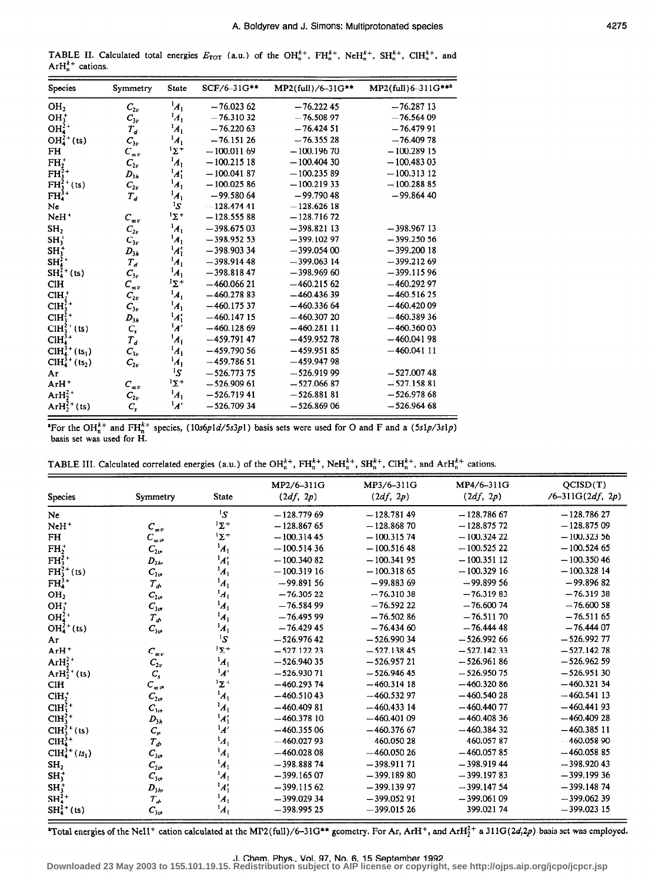TABLE II. Calculated total energies  $E_{TOT}$  (a.u.) of the OH<sub>n</sub><sup>++</sup>, FH<sub>n</sub><sup>++</sup>, NeH<sub>n</sub><sup>++</sup>, SH<sub>n</sub><sup>++</sup>, ClH<sub>n</sub><sup>++</sup>, and  $ArH_n^{k+}$  cations.

| <b>Species</b>             | Symmetry       | <b>State</b>          | SCF/6-31G**  | MP2(full)/6-31G** | MP2(full)6-311G*** |
|----------------------------|----------------|-----------------------|--------------|-------------------|--------------------|
| OH <sub>2</sub>            | $C_{2v}$       | $\boldsymbol{A}_1$    | $-76.02362$  | $-76.22245$       | $-76.28713$        |
| OH <sub>1</sub>            | $C_{3v}$       | $^{1}$ A <sub>1</sub> | $-76.31032$  | $-76.50897$       | $-76.56409$        |
| $OH42+$                    | $T_d$          | $^1A_1$               | $-76.22063$  | $-76.42451$       | $-76.47991$        |
| $OH42+$ (ts)               | $C_{3v}$       | $\boldsymbol{A}_1$    | $-76.15126$  | $-76.35528$       | $-76.40978$        |
| FH                         | $C_{av}$       | 'Σ'                   | $-100.01169$ | $-100.19670$      | $-100.28915$       |
| FH,                        | $C_{2v}$       | $A_1$                 | $-100.21518$ | $-100.40430$      | $-100.48303$       |
| $FH_1^{2+}$                | $D_{3h}$       | $\boldsymbol{A_1'}$   | $-100.04187$ | $-100.23589$      | $-100.31312$       |
| $FH_3^{2+}(ts)$            | $C_{2v}$       | $^1A_1$               | $-100.02586$ | $-100.21933$      | $-100.28885$       |
| $FH^{3+}_{4}$              | $T_d$          | $\boldsymbol{A}_1$    | $-99.58064$  | $-99.79048$       | $-99.86440$        |
| Ne                         |                | ${}^{1}S$             | $-128.47441$ | $-128.62618$      |                    |
| NeH <sup>+</sup>           | $C_{\infty}$   | 'Σ'                   | $-128.55588$ | $-128.71672$      |                    |
| SH,                        | $C_{2v}$       | $\boldsymbol{A}_1$    | $-398.67503$ | $-398.82113$      | $-398.96713$       |
| $SH_3^+$                   | $C_{3v}$       | $\boldsymbol{A}_1$    | $-398.95253$ | $-399.10297$      | $-399.25056$       |
| $SH_3^+$                   | $D_{3h}$       | $A'_1$                | $-398.90334$ | $-399.05400$      | $-399.20018$       |
| $SH_4^{\frac{5}{2}+}$      | $T_{d}$        | $\boldsymbol{A}_1$    | $-398.91448$ | $-399.063$ 14     | $-399.21269$       |
| $SH42+$ (ts)               | $C_{3v}$       | $\boldsymbol{A}_1$    | $-398.81847$ | $-398.96960$      | $-399.11596$       |
| <b>CIH</b>                 | $C_{\infty v}$ | $^1\Sigma^+$          | $-460.06621$ | $-460.21562$      | $-460.29297$       |
| $CHH^+$                    | $C_{2v}$       | $\boldsymbol{A}_1$    | $-460.27883$ | $-460.43639$      | $-460.51625$       |
| $CH32+$                    | $C_{3v}$       | $^1A_1$               | $-460.17537$ | $-460.33664$      | $-460.42009$       |
| $CH2+$                     | $D_{3h}$       | $\frac{1}{4}$         | $-460.14715$ | $-460.30720$      | $-460.38936$       |
| $CIH_3^{2+} (ts)$          | $C_{s}$        | $\overline{A'}$       | $-460.12869$ | $-460.28111$      | $-460.36003$       |
| $CH43+$                    | $T_{d}$        | $^1A_1$               | $-459.79147$ | $-459.95278$      | $-460.04198$       |
| $CIH_4^{3+}(ts_1)$         | $C_{3v}$       | $^1A_1$               | $-459.79056$ | $-459.95185$      | $-460.04111$       |
| $CH43+$ (ts <sub>2</sub> ) | $C_{2v}$       | $A_1$                 | $-459.78651$ | $-459.94798$      |                    |
| Ar                         |                | ${}^{1}S$             | $-526.77375$ | $-526.91999$      | $-527.00748$       |
| ArH <sup>+</sup>           | $C_{\infty v}$ | $1\Sigma^+$           | $-526.90961$ | $-527.06687$      | $-527.15881$       |
| Ar $H_2^{2+}$              | $C_{2v}$       | $A_1$                 | $-526.71941$ | $-526.88181$      | $-526.97868$       |
| $ArH22+(ts)$               | $C_{\rm s}$    | $\mathcal{A}'$        | $-526.70934$ | $-526.86906$      | $-526.96468$       |

<sup>4</sup>For the OH<sup>k+</sup> and FH<sub>n</sub><sup>k+</sup> species, (10s6p1d/5s3p1) basis sets were used for O and F and a (5s1p/3s1p) basis set was used for H.

| TABLE III. Calculated correlated energies (a.u.) of the OH <sup>k+</sup> , FH <sup>k+</sup> , NeH <sup>k+</sup> , SH <sup>k+</sup> , ClH <sup>k+</sup> , and ArH <sup>k+</sup> cations |  |  |  |
|----------------------------------------------------------------------------------------------------------------------------------------------------------------------------------------|--|--|--|
|----------------------------------------------------------------------------------------------------------------------------------------------------------------------------------------|--|--|--|

| <b>Species</b>        | Symmetry       | <b>State</b>        | MP2/6-311G<br>(2df, 2p) | MP3/6-311G<br>(2df, 2p) | MP4/6-311G<br>(2df, 2p) | QCISD(T)<br>$/6 - 311G(2df, 2p)$ |
|-----------------------|----------------|---------------------|-------------------------|-------------------------|-------------------------|----------------------------------|
| <b>Ne</b>             |                | ${}^{1}S$           | $-128.77969$            | $-128.78149$            | $-128.78667$            | $-128.78627$                     |
| NeH <sup>+</sup>      | $C_{\infty v}$ | $1\Sigma^+$         | $-128.86765$            | $-128.86870$            | $-128.87572$            | $-128.87509$                     |
| <b>FH</b>             | $C_{\infty}$ v | $1\Sigma^+$         | $-100.31445$            | $-100.31574$            | $-100.32422$            | $-100.32356$                     |
| $FH_2^+$              | $C_{2v}$       | $\boldsymbol{A}_1$  | $-100.51436$            | $-100.51648$            | $-100.52522$            | $-100.52465$                     |
| $FH_3^2$ <sup>+</sup> | $D_{3h}$       | $A'_1$              | $-100.34082$            | $-100.34195$            | $-100.35112$            | $-100.35046$                     |
| $FH_{3}^{2+}(ts)$     | $C_{2v}$       | $\boldsymbol{A}_1$  | $-100.31916$            | $-100.31865$            | $-100.32916$            | $-100.32814$                     |
| $FH43+$               | $T_{d}$        | $A_1$               | $-99.89156$             | $-99.88369$             | $-99.89956$             | $-99.89682$                      |
| OH <sub>2</sub>       | $C_{2v}$       | $\boldsymbol{A}_1$  | $-76.30522$             | $-76.31038$             | $-76.31983$             | $-76.31938$                      |
| $OH3+$                | $C_{3v}$       | $^1A_1$             | $-76.58499$             | $-76.59222$             | $-76,60074$             | $-76,60058$                      |
| $OH42+$               | $T_{\phi}$     | $\boldsymbol{A}_1$  | $-76.49599$             | $-76.50286$             | $-76.51170$             | $-76.51165$                      |
| $OH^{2+}_4(ts)$       | $C_{3v}$       | $^1A_1$             | $-76.42945$             | $-76.43460$             | $-76.44448$             | $-76.44407$                      |
| Ar                    |                | ${}^{1}S$           | $-526.97642$            | $-526.99034$            | $-526.99266$            | $-526.99277$                     |
| $ArH^+$               | $C_{av}$       | $1\Sigma +$         | $-527.12223$            | $-527.13845$            | $-527.14233$            | $-527.14278$                     |
| Ar $H_2^{2+}$         | $C_{2v}$       | $\boldsymbol{A}_1$  | $-526.94035$            | $-526.95721$            | $-526.96186$            | $-526.96259$                     |
| $ArH22+$ (ts)         | $C_{s}$        | $\mathbf{A}'$       | $-526.93071$            | $-526.94645$            | $-526.95075$            | $-526.95130$                     |
| C <sub>II</sub>       | $C_{\infty}$   | 'Σ+                 | $-460.29374$            | $-460.31418$            | $-460.32086$            | $-460.32134$                     |
| CH <sub>2</sub>       | $C_{2v}$       | $\boldsymbol{A}_1$  | $-460.51043$            | $-460.53297$            | $-460.54028$            | $-460.54113$                     |
| $CH32+$               | $C_{3v}$       | $\frac{1}{4}$       | $-460.40981$            | $-460.43314$            | $-460.44077$            | $-460.44193$                     |
| $CH32+$               | $D_{3n}$       | $\boldsymbol{A}'_1$ | $-460.37810$            | $-460,40109$            | $-460.40836$            | $-460.40928$                     |
| $CH32+$ (ts)          | $C_{\rm r}$    | $\mathcal{A}'$      | $-460.35506$            | $-460.37667$            | $-460.38432$            | $-460.38511$                     |
| $CH43+$               | $T_a$          | $\boldsymbol{A}_1$  | $-460.02793$            | $-460.05028$            | $-460.05787$            | $-460.05890$                     |
| $CH43+(ts1)$          | $C_{3\sigma}$  | $^1A_1$             | $-460.02808$            | $-460.05026$            | $-460.05785$            | $-460.05885$                     |
| SH <sub>2</sub>       | $C_{2v}$       | $\boldsymbol{A}_1$  | $-398.88874$            | $-398.91171$            | $-398.91944$            | $-398.92043$                     |
| $SH_3^+$              | $C_{3v}$       | $\boldsymbol{A}_1$  | $-399.16507$            | $-399.18980$            | $-399.19783$            | $-399.19936$                     |
| $SH_3^+$              | $D_{3h}$       | $^1A_1'$            | $-399.11562$            | $-399.13997$            | $-399.14754$            | $-399.14874$                     |
| $SH^{2+}_{4}$         | $T_{\phi}$     | $\boldsymbol{A}_1$  | $-399.02934$            | $-399.05291$            | $-399.06109$            | $-399.06239$                     |
| $SH^{2+}_4(ts)$       | $C_{\rm sw}$   | $^1A_1$             | $-398.99525$            | $-399.01526$            | 399.02174               | $-399.02315$                     |

\*Total energies of the NeH<sup>+</sup> cation calculated at the MP2(full)/6-31G\*\* geometry. For Ar, ArH<sup>+</sup>, and ArH<sup>2+</sup> a 311G(2d,2p) basis set was employed.

J. Chem. Phys., Vol. 97, No. 6, 15 September 1992<br>Downloaded 23 May 2003 to 155.101.19.15. Redistribution subject to AIP license or copyright, see http://ojps.aip.org/jcpo/jcpcr.jsp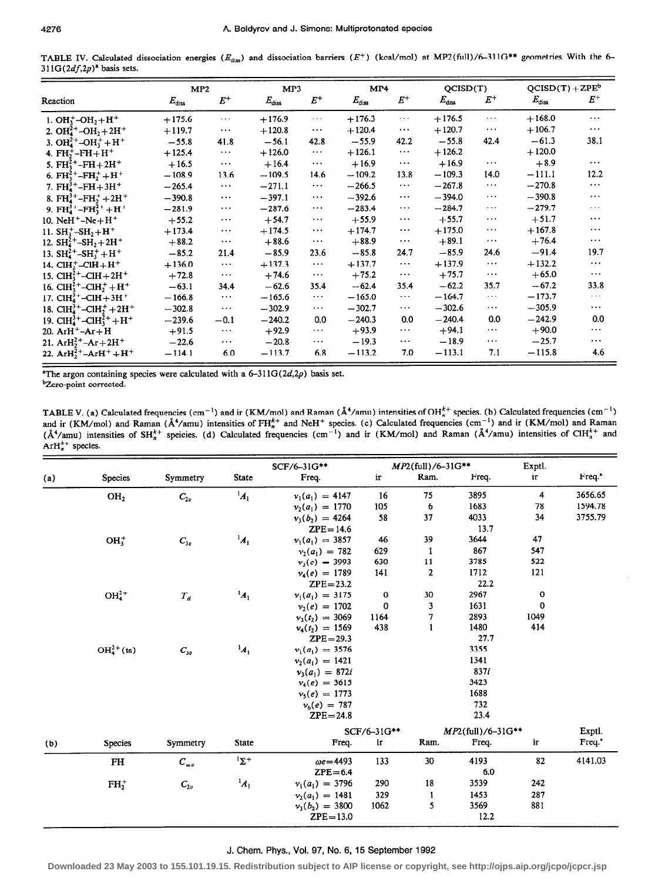TABLE IV. Calculated dissociation energies ( $E_{\text{diss}}$ ) and dissociation barriers ( $E^+$ ) (kcal/mol) at MP2(full)/6-311G\*\* geometries With the 6- $311G(2df,2p)^{a}$  basis sets.

|                                                                                    | MP2            |          | MP3            |                               | MP4            |                               | QCISD(T)       |               | $QCISD(T) + ZPEb$ |                      |
|------------------------------------------------------------------------------------|----------------|----------|----------------|-------------------------------|----------------|-------------------------------|----------------|---------------|-------------------|----------------------|
| Reaction                                                                           | $E_{\rm diss}$ | $E^+$    | $E_{\rm diss}$ | $E^+$                         | $E_{\rm diss}$ | $E^+$                         | $E_{\rm diss}$ | $E^+$         | $E_{\rm diss}$    | $\bm{E}^+$           |
| 1. OH <sub>3</sub> $-M_2 + H^+$                                                    | $+175.6$       | $\cdots$ | $+176.9$       | $\ldots$                      | $+176.3$       | $\cdots$                      | $+176.5$       | $\cdots$      | $+168.0$          | $\cdots$             |
| 2. OH <sub>4</sub> <sup>+</sup> -OH <sub>2</sub> +2H <sup>+</sup>                  | $+119.7$       | $\cdots$ | $+120.8$       | $\cdots$                      | $+120.4$       | $\ldots$                      | $+120.7$       | $\cdots$      | $+106.7$          | $\cdots$             |
| 3. $OH42+-OH3++H+$                                                                 | $-55.8$        | 41.8     | $-56.1$        | 42.8                          | $-55.9$        | 42.2                          | $-55.8$        | 42.4          | $-61.3$           | 38.1                 |
| 4. $FH_2^+$ -FH $+H^+$                                                             | $+125.4$       | $\ldots$ | $+126.0$       | $\ldots$                      | $+126.1$       | $\ldots$                      | $+126.2$       |               | $+120.0$          |                      |
| 5. $FH_3^{2+} - FH + 2H^+$                                                         | $+16.5$        | $\cdots$ | $+16.4$        | $\bullet$ $\bullet$ $\bullet$ | $+16.9$        | $\ldots$                      | $+16.9$        | $\cdots$      | $+8.9$            | $\cdots$             |
| 6. FH <sup>2+</sup> -FH <sup>+</sup> +H <sup>+</sup>                               | $-108.9$       | 13.6     | $-109.5$       | 14.6                          | $-109.2$       | 13.8                          | $-109.3$       | 14.0          | $-111.1$          | 12.2                 |
| 7. $FH_{4}^{3+}$ -FH + 3H <sup>+</sup>                                             | $-265.4$       | $\ldots$ | $-271.1$       | $\ldots$                      | $-266.5$       | $\ldots$                      | $-267.8$       | $\sim$ $\sim$ | $-270.8$          | $\ldots$             |
| 8. FH <sup>3+</sup> -FH $\ddagger$ + 2H <sup>+</sup>                               | $-390.8$       | $\cdots$ | $-397.1$       | $\cdots$                      | $-392.6$       | $\ldots$                      | $-394.0$       | $\cdots$      | $-390.8$          | $\cdots$             |
| 9. FH <sub>4</sub> <sup>3+</sup> -FH <sub>3</sub> <sup>+</sup> +H <sup>+</sup>     | $-281.9$       | $\cdots$ | $-287.6$       | $\cdots$                      | $-283.4$       | $\sim$ $\sim$ $\sim$          | $-284.7$       | $\ldots$      | $-279.7$          | $\cdots$             |
| 10. NeH <sup>+</sup> $-Ne+H^+$                                                     | $+55.2$        | $\cdots$ | $+54.7$        | $\cdots$                      | $+55.9$        | $\cdots$                      | $+55.7$        | $\cdots$      | $+51.7$           | $\cdots$             |
| 11. $SH_2^+$ -SH <sub>2</sub> +H <sup>+</sup>                                      | $+173.4$       | $\cdots$ | $+174.5$       | $\cdots$                      | $+174.7$       | $\cdots$                      | $+175.0$       | $\cdots$      | $+167.8$          | $\cdots$             |
| 12. $SH_4^{2+}$ -SH <sub>2</sub> +2H <sup>+</sup>                                  | $+88.2$        | $\cdots$ | $+88.6$        | $\ldots$                      | $+88.9$        | $\bullet$ $\bullet$ $\bullet$ | $+89.1$        | $\cdots$      | $+76.4$           | $\cdots$             |
| 13. $SH_4^{2+} - SH_3^+ + H^+$                                                     | $-85.2$        | 21.4     | $-85.9$        | 23.6                          | $-85.8$        | 24.7                          | $-85.9$        | 24.6          | $-91.4$           | 19.7                 |
| 14. $ClH++-ClH + H+$                                                               | $+136.0$       | $\ldots$ | $+137.3$       | $\sim$ $\sim$ $\sim$          | $+137.7$       | $\ldots$                      | $+137.9$       | $\cdots$      | $+132.2$          | $\cdots$             |
| 15. $CH_3^{2+}$ -CIH + 2H <sup>+</sup>                                             | $+72.8$        | $\cdots$ | $+74.6$        | $\ldots$                      | $+75.2$        | $\cdots$                      | $+75.7$        | $\cdots$      | $+65.0$           | $\cdots$             |
| 16. ClH <sup>2+</sup> -ClH <sub>2</sub> ++H <sup>+</sup>                           | $-63.1$        | 34.4     | $-62.6$        | 35.4                          | $-62.4$        | 35.4                          | $-62.2$        | 35.7          | $-67.2$           | 33.8                 |
| 17. $CH43+-CH + 3H+$                                                               | $-166.8$       | $\cdots$ | $-165.6$       | $\sim$ $\sim$ $\sim$          | $-165.0$       | $\sim$ $\sim$ $\sim$          | $-164.7$       | $\cdots$      | $-173.7$          | $\cdots$             |
| 18. ClH <sub>4</sub> <sup>3+</sup> -ClH <sub>2</sub> <sup>+</sup> +2H <sup>+</sup> | $-302.8$       | $\ldots$ | $-302.9$       | $\sim$ $\sim$ $\sim$          | $-302.7$       | $\bullet$ $\bullet$ $\bullet$ | $-302.6$       | $\cdots$      | $-305.9$          | $\sim$ $\sim$ $\sim$ |
| 19. ClH <sub>4</sub> <sup>3+</sup> -ClH <sub>3</sub> <sup>2+</sup> +H <sup>+</sup> | $-239.6$       | $-0.1$   | $-240.2$       | 0.0                           | $-240.3$       | 0.0                           | $-240.4$       | 0.0           | $-242.9$          | 0.0                  |
| 20. $ArH^+ - Ar + H$                                                               | $+91.5$        | $\cdots$ | $+92.9$        | $\cdots$                      | $+93.9$        | $\ldots$                      | $+94.1$        | $\cdots$      | $+90.0$           | $\cdots$             |
| 21. $ArH22+-Ar+2H+$                                                                | $-22.6$        | $\cdots$ | $-20.8$        | $\ldots$                      | $-19.3$        | $\cdots$                      | $-18.9$        | $\cdots$      | $-25.7$           | $\cdots$             |
| 22. $ArH22+-ArH++H+$                                                               | $-114.1$       | 6.0      | $-113.7$       | 6.8                           | $-113.2$       | 7.0                           | $-113.1$       | 7.1           | $-115.8$          | 4.6                  |

<sup>a</sup>The argon containing species were calculated with a  $6-311G(2d,2p)$  basis set. <sup>b</sup>Zero-point corrected.

TABLE V. (a) Calculated frequencies (cm<sup>-1</sup>) and ir (KM/mol) and Raman ( $\AA^4$ /amu) intensities of OH<sup>k+</sup> species. (b) Calculated frequencies (cm<sup>-1</sup>) and ir (KM/mol) and Raman ( $\AA^4$ /amu) intensities of FH<sup>k+</sup> and NeH<sup>+</sup>  $ArH<sub>n</sub><sup>k+</sup>$  species.

|     |                 |                |                       | SCF/6-31G**       |             | $MP2$ (full)/6-31G** |                      | Exptl.         |                    |
|-----|-----------------|----------------|-----------------------|-------------------|-------------|----------------------|----------------------|----------------|--------------------|
| (a) | <b>Species</b>  | Symmetry       | <b>State</b>          | Freq.             | ir          | Ram.                 | Freq.                | ir             | Freq. <sup>a</sup> |
|     | OH <sub>2</sub> | $C_{2v}$       | $\boldsymbol{A}_1$    | $v_1(a_1) = 4147$ | 16          | 75                   | 3895                 | $\overline{4}$ | 3656.65            |
|     |                 |                |                       | $v_2(a_1) = 1770$ | 105         | 6                    | 1683                 | 78             | 1594.78            |
|     |                 |                |                       | $v_1(b_2) = 4264$ | 58          | 37                   | 4033                 | 34             | 3755.79            |
|     |                 |                |                       | $ZPE = 14.6$      |             |                      | 13.7                 |                |                    |
|     | $OH3+$          | $C_{3v}$       | $A_1$                 | $v_1(a_1) = 3857$ | 46          | 39                   | 3644                 | 47             |                    |
|     |                 |                |                       | $v_2(a_1) = 782$  | 629         | 1                    | 867                  | 547            |                    |
|     |                 |                |                       | $v_3(e) = 3993$   | 630         | 11                   | 3785                 | 522            |                    |
|     |                 |                |                       | $v_4(e) = 1789$   | 141         | $\mathbf 2$          | 1712                 | 121            |                    |
|     |                 |                |                       | $ZPE = 23.2$      |             |                      | 22.2                 |                |                    |
|     | $OH42+$         | $T_d$          | $^{1}A_{1}$           | $v_1(a_1) = 3175$ | $\mathbf 0$ | 30                   | 2967                 | $\mathbf 0$    |                    |
|     |                 |                |                       | $v_2(e) = 1702$   | 0           | 3                    | 1631                 | 0              |                    |
|     |                 |                |                       | $v_3(t_2) = 3069$ | 1164        | 7                    | 2893                 | 1049           |                    |
|     |                 |                |                       | $v_4(t_2) = 1569$ | 438         | $\mathbf{1}$         | 1480                 | 414            |                    |
|     |                 |                |                       | $ZPE = 29.3$      |             |                      | 27.7                 |                |                    |
|     | $OH42+(ts)$     | $C_{3v}$       | $^{1}$ A <sub>1</sub> | $v_1(a_1) = 3576$ |             |                      | 3355                 |                |                    |
|     |                 |                |                       | $v_2(a_1) = 1421$ |             |                      | 1341                 |                |                    |
|     |                 |                |                       | $v_3(a_1) = 872i$ |             |                      | 837i                 |                |                    |
|     |                 |                |                       | $v_4(e) = 3615$   |             |                      | 3423                 |                |                    |
|     |                 |                |                       | $v_5(e) = 1773$   |             |                      | 1688                 |                |                    |
|     |                 |                |                       | $v_6(e) = 787$    |             |                      | 732                  |                |                    |
|     |                 |                |                       | $ZPE = 24.8$      |             |                      | 23.4                 |                |                    |
|     |                 |                |                       |                   | SCF/6-31G** |                      | $MP2$ (full)/6-31G** |                | Exptl.             |
| (b) | <b>Species</b>  | Symmetry       | <b>State</b>          | Freq.             | ir          | Ram.                 | Freq.                | ir             | Freq. <sup>*</sup> |
|     | FH              | $C_{\infty v}$ | $1\Sigma^+$           | $\omega e = 4493$ | 133         | 30                   | 4193                 | 82             | 4141.03            |
|     |                 |                |                       | $ZPE = 6.4$       |             |                      | 6.0                  |                |                    |
|     | $FH_2^+$        | $C_{2v}$       | $A_1$                 | $v_1(a_1) = 3796$ | 290         | 18                   | 3539                 | 242            |                    |
|     |                 |                |                       | $v_2(a_1) = 1481$ | 329         | $\mathbf{1}$         | 1453                 | 287            |                    |
|     |                 |                |                       | $v_3(b_2) = 3800$ | 1062        | 5                    | 3569                 | 881            |                    |
|     |                 |                |                       | $ZPE = 13.0$      |             |                      | 12.2                 |                |                    |

#### J. Chem. Phys., Vol. 97, No. 6, 15 September 1992

Downloaded 23 May 2003 to 155.101.19.15. Redistribution subject to AIP license or copyright, see http://ojps.aip.org/jcpo/jcpcr.jsp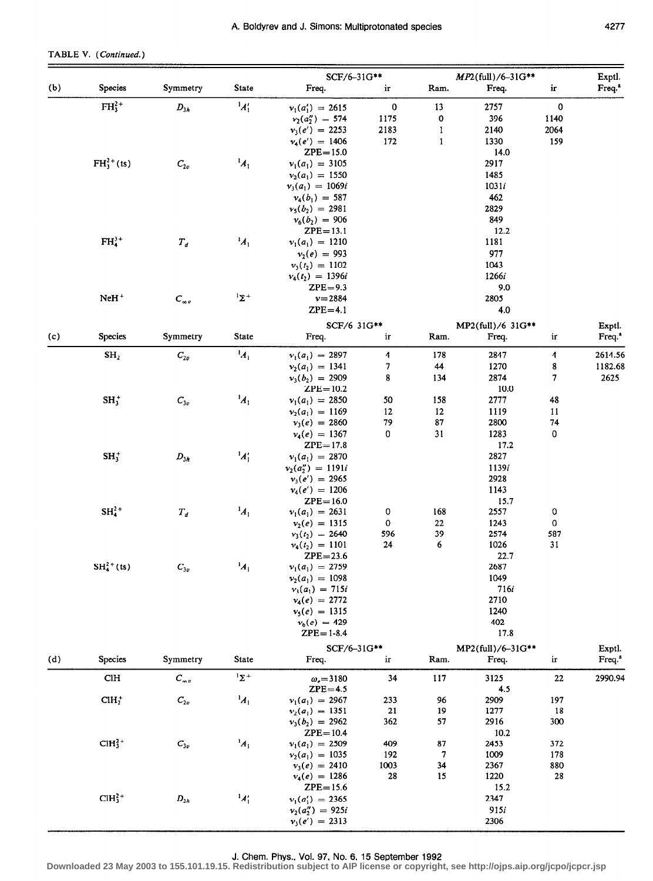# TABLE V. (Continued.)

|     |                 |                       |                    | SCF/6-31G**                            |                  |                              | $MP2$ (full)/6-31G**       |                  | Exptl.                       |
|-----|-----------------|-----------------------|--------------------|----------------------------------------|------------------|------------------------------|----------------------------|------------------|------------------------------|
| (b) | <b>Species</b>  | Symmetry              | <b>State</b>       | Freq.                                  | ir               | Ram.                         | Freq.                      | ir               | Freq. <sup>a</sup>           |
|     | $FH_3^{2+}$     | $D_{3h}$              | $\frac{1}{4}$      | $v_1(a'_1) = 2615$                     | $\pmb{0}$        | 13                           | 2757                       | 0                |                              |
|     |                 |                       |                    | $v_2(a_2'') = 574$                     | 1175             | 0                            | 396                        | 1140             |                              |
|     |                 |                       |                    | $v_3(e') = 2253$<br>$v_4(e') = 1406$   | 2183<br>172      | $\mathbf{I}$<br>$\mathbf{1}$ | 2140<br>1330               | 2064<br>159      |                              |
|     |                 |                       |                    | $ZPE = 15.0$                           |                  |                              | 14.0                       |                  |                              |
|     | $FH_3^{2+}(ts)$ | $C_{2v}$              | $\mathbf{A}_1$     | $v_1(a_1) = 3105$                      |                  |                              | 2917                       |                  |                              |
|     |                 |                       |                    | $v_2(a_1) = 1550$                      |                  |                              | 1485                       |                  |                              |
|     |                 |                       |                    | $v_3(a_1) = 1069i$                     |                  |                              | 1031/                      |                  |                              |
|     |                 |                       |                    | $v_4(b_1) = 587$                       |                  |                              | 462                        |                  |                              |
|     |                 |                       |                    | $v_5(b_2) = 2981$                      |                  |                              | 2829                       |                  |                              |
|     |                 |                       |                    | $v_6(b_2) = 906$<br>$ZPE = 13.1$       |                  |                              | 849<br>12.2                |                  |                              |
|     | $FH43+$         | $T_d$                 | $^1A_1$            | $v_1(a_1) = 1210$                      |                  |                              | 1181                       |                  |                              |
|     |                 |                       |                    | $v_2(e) = 993$                         |                  |                              | 977                        |                  |                              |
|     |                 |                       |                    | $v_3(t_2) = 1102$                      |                  |                              | 1043                       |                  |                              |
|     |                 |                       |                    | $v_4(t_2) = 1396i$                     |                  |                              | 1266i                      |                  |                              |
|     |                 |                       |                    | $ZPE = 9.3$                            |                  |                              | 9.0                        |                  |                              |
|     | $N$ e $H^+$     | $C_{\infty v}$        | $1\Sigma^+$        | $v = 2884$                             |                  |                              | 2805                       |                  |                              |
|     |                 |                       |                    | $ZPE=4.1$                              |                  |                              | 4.0                        |                  |                              |
|     |                 |                       |                    | SCF/6-31G**                            |                  |                              | MP2(full)/6-31G**          |                  | Exptl.                       |
| (c) | <b>Species</b>  | Symmetry              | State              | Freq.                                  | ir               | Ram.                         | Freq.                      | ir               | Freq. <sup>a</sup>           |
|     | SH <sub>2</sub> | $C_{2v}$              | $^{1}A_{1}$        | $v_1(a_1) = 2897$                      | 4                | 178                          | 2847                       | 4                | 2614.56                      |
|     |                 |                       |                    | $v_2(a_1) = 1341$                      | 7                | 44                           | 1270                       | 8                | 1182.68                      |
|     |                 |                       |                    | $v_3(b_2) = 2909$<br>$ZPE = 10.2$      | 8                | 134                          | 2874<br>10.0               | 7                | 2625                         |
|     | $SH_3^+$        | $C_{3v}$              | $A_1$              | $v_1(a_1) = 2850$                      | 50               | 158                          | 2777                       | 48               |                              |
|     |                 |                       |                    | $v_2(a_1) = 1169$                      | 12               | 12                           | 1119                       | 11               |                              |
|     |                 |                       |                    | $v_3(e) = 2860$                        | 79               | 87                           | 2800                       | 74               |                              |
|     |                 |                       |                    | $v_4(e) = 1367$                        | 0                | 31                           | 1283                       | $\bf{0}$         |                              |
|     |                 |                       |                    | $ZPE = 17.8$                           |                  |                              | 17.2                       |                  |                              |
|     | $SH_3^+$        | $D_{3h}$              | $A'_1$             | $v_1(a_1) = 2870$                      |                  |                              | 2827                       |                  |                              |
|     |                 |                       |                    | $v_2(a_2'') = 1191i$                   |                  |                              | 1139i<br>2928              |                  |                              |
|     |                 |                       |                    | $v_3(e') = 2965$<br>$v_4(e') = 1206$   |                  |                              | 1143                       |                  |                              |
|     |                 |                       |                    | $ZPE = 16.0$                           |                  |                              | 15.7                       |                  |                              |
|     | $SH42+$         | $T_d$                 | $\frac{1}{4}$      | $v_1(a_1) = 2631$                      | $\boldsymbol{0}$ | 168                          | 2557                       | $\boldsymbol{0}$ |                              |
|     |                 |                       |                    | $v_2(e) = 1315$                        | $\mathbf 0$      | 22                           | 1243                       | $\mathbf 0$      |                              |
|     |                 |                       |                    | $v_3(t_2) = 2640$                      | 596              | 39                           | 2574                       | 587              |                              |
|     |                 |                       |                    | $v_4(t_2) = 1101$                      | 24               | 6                            | 1026<br>22.7               | 31               |                              |
|     | $SH42+(ts)$     | $\boldsymbol{C_{3v}}$ | $A_1$              | $ZPE = 23.6$<br>$v_1(a_1) = 2759$      |                  |                              | 2687                       |                  |                              |
|     |                 |                       |                    | $v_2(a_1) = 1098$                      |                  |                              | 1049                       |                  |                              |
|     |                 |                       |                    | $v_3(a_1) = 715i$                      |                  |                              | 716i                       |                  |                              |
|     |                 |                       |                    | $v_4(e) = 2772$                        |                  |                              | 2710                       |                  |                              |
|     |                 |                       |                    | $v_5(e) = 1315$                        |                  |                              | 1240                       |                  |                              |
|     |                 |                       |                    | $v_6(e) = 429$<br>$ZPE = 1-8.4$        |                  |                              | 402<br>17.8                |                  |                              |
|     |                 |                       |                    |                                        |                  |                              |                            |                  |                              |
| (d) | <b>Species</b>  | Symmetry              | State              | SCF/6-31G**<br>Freq.                   | ir               | Ram.                         | MP2(full)/6-31G**<br>Freq. | ir               | Exptl.<br>Freq. <sup>a</sup> |
|     |                 |                       | $1\Sigma^+$        |                                        |                  |                              |                            |                  |                              |
|     | <b>CIH</b>      | $C_{\infty v}$        |                    | $\omega_e = 3180$<br>$ZPE = 4.5$       | 34               | 117                          | 3125<br>4.5                | 22               | 2990.94                      |
|     | $CIH_2^+$       | $\mathcal{C}_{2v}$    | $\boldsymbol{A}_1$ | $v_1(a_1) = 2967$                      | 233              | 96                           | 2909                       | 197              |                              |
|     |                 |                       |                    | $v_2(a_1) = 1351$                      | 21               | 19                           | 1277                       | 18               |                              |
|     |                 |                       |                    | $v_3(b_2) = 2962$                      | 362              | 57                           | 2916                       | 300              |                              |
|     | $CH32+$         |                       | $\boldsymbol{A}_1$ | $ZPE = 10.4$                           | 409              |                              | 10.2<br>2453               | 372              |                              |
|     |                 | $\boldsymbol{C_{3v}}$ |                    | $v_1(a_1) = 2509$<br>$v_2(a_1) = 1035$ | 192              | 87<br>7                      | 1009                       | 178              |                              |
|     |                 |                       |                    | $v_3(e) = 2410$                        | 1003             | 34                           | 2367                       | 880              |                              |
|     |                 |                       |                    | $v_4(e) = 1286$                        | 28               | 15                           | 1220                       | 28               |                              |
|     |                 |                       |                    | $ZPE = 15.6$                           |                  |                              | 15.2                       |                  |                              |
|     | $CH32+$         | $D_{3h}$              | $^1A_1'$           | $v_1(a'_1) = 2365$                     |                  |                              | 2347                       |                  |                              |
|     |                 |                       |                    | $v_2(a_2'') = 925i$                    |                  |                              | 915i                       |                  |                              |
|     |                 |                       |                    | $v_3(e') = 2313$                       |                  |                              | 2306                       |                  |                              |

J. Chem. Phys., Vol. 97, No. 6, 15 September 1992 **Downloaded 23 May 2003 to 155.101.19.15. Redistribution subject to AIP license or copyright, see http://ojps.aip.org/jcpo/jcpcr.jsp**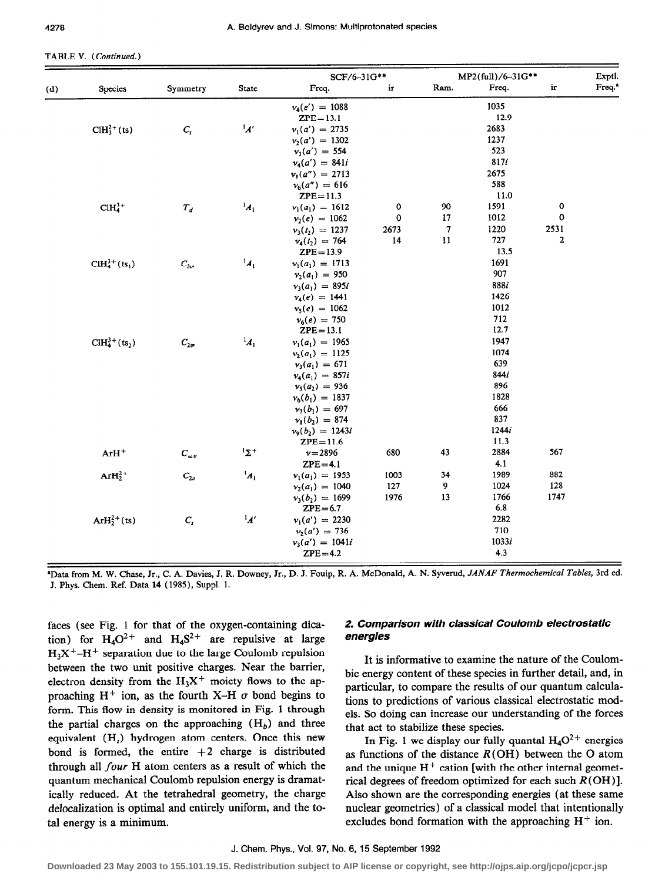#### TABLE V. (Continued.)

| Freq. <sup>a</sup><br>ir<br>Freq.<br>Ram.<br>Freq.<br><b>State</b><br>ir<br>Species<br>Symmetry<br>1035<br>$v_4(e') = 1088$<br>12.9<br>$ZPE = 13.1$<br>$\boldsymbol{A}$<br>$CH32+(ts)$<br>2683<br>$\boldsymbol{C}_s$<br>$v_1(a') = 2735$<br>1237<br>$v_2(a') = 1302$<br>523<br>$v_3(a') = 554$<br>817i<br>$v_4(a') = 841i$<br>2675<br>$v_5(a'') = 2713$<br>588<br>$v_6(a'') = 616$<br>11.0<br>$ZPE = 11.3$<br>$A_1$<br>0<br>$CH43+$<br>0<br>90<br>1591<br>$\boldsymbol{T}_d$<br>$v_1(a_1) = 1612$<br>0<br>0<br>17<br>1012<br>$v_2(e) = 1062$<br>7<br>2531<br>2673<br>1220<br>$v_3(t_2) = 1237$<br>2<br>14<br>11<br>727<br>$v_4(t_2) = 764$<br>13.5<br>$ZPE = 13.9$<br>$CH43+(ts1)$<br>$^{1}A_{1}$<br>1691<br>$C_{3v}$<br>$v_1(a_1) = 1713$<br>907<br>$v_2(a_1) = 950$<br>8881<br>$v_3(a_1) = 895i$<br>1426<br>$v_4(e) = 1441$<br>1012<br>$v_5(e) = 1062$<br>712<br>$v_6(e) = 750$<br>12.7<br>$ZPE=13.1$<br>$CH43+(ts2)$<br>$\boldsymbol{A}_1$<br>1947<br>$C_{2v}$<br>$v_1(a_1) = 1965$<br>1074<br>$v_2(a_1) = 1125$<br>639<br>$v_3(a_1) = 671$<br>844i<br>$v_4(a_1) = 857i$<br>896<br>$v_5(a_2) = 936$<br>1828<br>$v_6(b_1) = 1837$<br>666<br>$v_7(b_1) = 697$<br>837<br>$v_8(b_2) = 874$<br>1244i<br>$v_9(b_2) = 1243i$<br>11.3<br>$ZPE = 11.6$<br>$1\Sigma$ +<br>567<br>$C_{\infty v}$<br>680<br>43<br>2884<br>$ArH^+$<br>$v = 2896$<br>4.1<br>$ZPE=4.1$<br>$^1A_1$<br>1989<br>882<br>$ArH22+$<br>$C_{2v}$<br>1003<br>34<br>$v_1(a_1) = 1953$<br>9<br>128<br>127<br>1024<br>$v_2(a_1) = 1040$<br>1976<br>13<br>1766<br>1747<br>$v_3(b_2) = 1699$<br>6.8<br>$ZPE=6.7$<br>$\boldsymbol{A'}$<br>$ArH22+(ts)$<br>2282<br>$\boldsymbol{C}_s$<br>$v_1(a') = 2230$<br>710<br>$v_2(a') = 736$<br>1033i<br>$v_3(a') = 1041i$<br>4.3<br>$ZPE=4.2$ |     |  | SCF/6-31G** |  | MP2(full)/6-31G** | Exptl. |
|-------------------------------------------------------------------------------------------------------------------------------------------------------------------------------------------------------------------------------------------------------------------------------------------------------------------------------------------------------------------------------------------------------------------------------------------------------------------------------------------------------------------------------------------------------------------------------------------------------------------------------------------------------------------------------------------------------------------------------------------------------------------------------------------------------------------------------------------------------------------------------------------------------------------------------------------------------------------------------------------------------------------------------------------------------------------------------------------------------------------------------------------------------------------------------------------------------------------------------------------------------------------------------------------------------------------------------------------------------------------------------------------------------------------------------------------------------------------------------------------------------------------------------------------------------------------------------------------------------------------------------------------------------------------------------------------------------------------------------------------|-----|--|-------------|--|-------------------|--------|
|                                                                                                                                                                                                                                                                                                                                                                                                                                                                                                                                                                                                                                                                                                                                                                                                                                                                                                                                                                                                                                                                                                                                                                                                                                                                                                                                                                                                                                                                                                                                                                                                                                                                                                                                           | (d) |  |             |  |                   |        |
|                                                                                                                                                                                                                                                                                                                                                                                                                                                                                                                                                                                                                                                                                                                                                                                                                                                                                                                                                                                                                                                                                                                                                                                                                                                                                                                                                                                                                                                                                                                                                                                                                                                                                                                                           |     |  |             |  |                   |        |
|                                                                                                                                                                                                                                                                                                                                                                                                                                                                                                                                                                                                                                                                                                                                                                                                                                                                                                                                                                                                                                                                                                                                                                                                                                                                                                                                                                                                                                                                                                                                                                                                                                                                                                                                           |     |  |             |  |                   |        |
|                                                                                                                                                                                                                                                                                                                                                                                                                                                                                                                                                                                                                                                                                                                                                                                                                                                                                                                                                                                                                                                                                                                                                                                                                                                                                                                                                                                                                                                                                                                                                                                                                                                                                                                                           |     |  |             |  |                   |        |
|                                                                                                                                                                                                                                                                                                                                                                                                                                                                                                                                                                                                                                                                                                                                                                                                                                                                                                                                                                                                                                                                                                                                                                                                                                                                                                                                                                                                                                                                                                                                                                                                                                                                                                                                           |     |  |             |  |                   |        |
|                                                                                                                                                                                                                                                                                                                                                                                                                                                                                                                                                                                                                                                                                                                                                                                                                                                                                                                                                                                                                                                                                                                                                                                                                                                                                                                                                                                                                                                                                                                                                                                                                                                                                                                                           |     |  |             |  |                   |        |
|                                                                                                                                                                                                                                                                                                                                                                                                                                                                                                                                                                                                                                                                                                                                                                                                                                                                                                                                                                                                                                                                                                                                                                                                                                                                                                                                                                                                                                                                                                                                                                                                                                                                                                                                           |     |  |             |  |                   |        |
|                                                                                                                                                                                                                                                                                                                                                                                                                                                                                                                                                                                                                                                                                                                                                                                                                                                                                                                                                                                                                                                                                                                                                                                                                                                                                                                                                                                                                                                                                                                                                                                                                                                                                                                                           |     |  |             |  |                   |        |
|                                                                                                                                                                                                                                                                                                                                                                                                                                                                                                                                                                                                                                                                                                                                                                                                                                                                                                                                                                                                                                                                                                                                                                                                                                                                                                                                                                                                                                                                                                                                                                                                                                                                                                                                           |     |  |             |  |                   |        |
|                                                                                                                                                                                                                                                                                                                                                                                                                                                                                                                                                                                                                                                                                                                                                                                                                                                                                                                                                                                                                                                                                                                                                                                                                                                                                                                                                                                                                                                                                                                                                                                                                                                                                                                                           |     |  |             |  |                   |        |
|                                                                                                                                                                                                                                                                                                                                                                                                                                                                                                                                                                                                                                                                                                                                                                                                                                                                                                                                                                                                                                                                                                                                                                                                                                                                                                                                                                                                                                                                                                                                                                                                                                                                                                                                           |     |  |             |  |                   |        |
|                                                                                                                                                                                                                                                                                                                                                                                                                                                                                                                                                                                                                                                                                                                                                                                                                                                                                                                                                                                                                                                                                                                                                                                                                                                                                                                                                                                                                                                                                                                                                                                                                                                                                                                                           |     |  |             |  |                   |        |
|                                                                                                                                                                                                                                                                                                                                                                                                                                                                                                                                                                                                                                                                                                                                                                                                                                                                                                                                                                                                                                                                                                                                                                                                                                                                                                                                                                                                                                                                                                                                                                                                                                                                                                                                           |     |  |             |  |                   |        |
|                                                                                                                                                                                                                                                                                                                                                                                                                                                                                                                                                                                                                                                                                                                                                                                                                                                                                                                                                                                                                                                                                                                                                                                                                                                                                                                                                                                                                                                                                                                                                                                                                                                                                                                                           |     |  |             |  |                   |        |
|                                                                                                                                                                                                                                                                                                                                                                                                                                                                                                                                                                                                                                                                                                                                                                                                                                                                                                                                                                                                                                                                                                                                                                                                                                                                                                                                                                                                                                                                                                                                                                                                                                                                                                                                           |     |  |             |  |                   |        |
|                                                                                                                                                                                                                                                                                                                                                                                                                                                                                                                                                                                                                                                                                                                                                                                                                                                                                                                                                                                                                                                                                                                                                                                                                                                                                                                                                                                                                                                                                                                                                                                                                                                                                                                                           |     |  |             |  |                   |        |
|                                                                                                                                                                                                                                                                                                                                                                                                                                                                                                                                                                                                                                                                                                                                                                                                                                                                                                                                                                                                                                                                                                                                                                                                                                                                                                                                                                                                                                                                                                                                                                                                                                                                                                                                           |     |  |             |  |                   |        |
|                                                                                                                                                                                                                                                                                                                                                                                                                                                                                                                                                                                                                                                                                                                                                                                                                                                                                                                                                                                                                                                                                                                                                                                                                                                                                                                                                                                                                                                                                                                                                                                                                                                                                                                                           |     |  |             |  |                   |        |
|                                                                                                                                                                                                                                                                                                                                                                                                                                                                                                                                                                                                                                                                                                                                                                                                                                                                                                                                                                                                                                                                                                                                                                                                                                                                                                                                                                                                                                                                                                                                                                                                                                                                                                                                           |     |  |             |  |                   |        |
|                                                                                                                                                                                                                                                                                                                                                                                                                                                                                                                                                                                                                                                                                                                                                                                                                                                                                                                                                                                                                                                                                                                                                                                                                                                                                                                                                                                                                                                                                                                                                                                                                                                                                                                                           |     |  |             |  |                   |        |
|                                                                                                                                                                                                                                                                                                                                                                                                                                                                                                                                                                                                                                                                                                                                                                                                                                                                                                                                                                                                                                                                                                                                                                                                                                                                                                                                                                                                                                                                                                                                                                                                                                                                                                                                           |     |  |             |  |                   |        |
|                                                                                                                                                                                                                                                                                                                                                                                                                                                                                                                                                                                                                                                                                                                                                                                                                                                                                                                                                                                                                                                                                                                                                                                                                                                                                                                                                                                                                                                                                                                                                                                                                                                                                                                                           |     |  |             |  |                   |        |
|                                                                                                                                                                                                                                                                                                                                                                                                                                                                                                                                                                                                                                                                                                                                                                                                                                                                                                                                                                                                                                                                                                                                                                                                                                                                                                                                                                                                                                                                                                                                                                                                                                                                                                                                           |     |  |             |  |                   |        |
|                                                                                                                                                                                                                                                                                                                                                                                                                                                                                                                                                                                                                                                                                                                                                                                                                                                                                                                                                                                                                                                                                                                                                                                                                                                                                                                                                                                                                                                                                                                                                                                                                                                                                                                                           |     |  |             |  |                   |        |
|                                                                                                                                                                                                                                                                                                                                                                                                                                                                                                                                                                                                                                                                                                                                                                                                                                                                                                                                                                                                                                                                                                                                                                                                                                                                                                                                                                                                                                                                                                                                                                                                                                                                                                                                           |     |  |             |  |                   |        |
|                                                                                                                                                                                                                                                                                                                                                                                                                                                                                                                                                                                                                                                                                                                                                                                                                                                                                                                                                                                                                                                                                                                                                                                                                                                                                                                                                                                                                                                                                                                                                                                                                                                                                                                                           |     |  |             |  |                   |        |
|                                                                                                                                                                                                                                                                                                                                                                                                                                                                                                                                                                                                                                                                                                                                                                                                                                                                                                                                                                                                                                                                                                                                                                                                                                                                                                                                                                                                                                                                                                                                                                                                                                                                                                                                           |     |  |             |  |                   |        |
|                                                                                                                                                                                                                                                                                                                                                                                                                                                                                                                                                                                                                                                                                                                                                                                                                                                                                                                                                                                                                                                                                                                                                                                                                                                                                                                                                                                                                                                                                                                                                                                                                                                                                                                                           |     |  |             |  |                   |        |
|                                                                                                                                                                                                                                                                                                                                                                                                                                                                                                                                                                                                                                                                                                                                                                                                                                                                                                                                                                                                                                                                                                                                                                                                                                                                                                                                                                                                                                                                                                                                                                                                                                                                                                                                           |     |  |             |  |                   |        |
|                                                                                                                                                                                                                                                                                                                                                                                                                                                                                                                                                                                                                                                                                                                                                                                                                                                                                                                                                                                                                                                                                                                                                                                                                                                                                                                                                                                                                                                                                                                                                                                                                                                                                                                                           |     |  |             |  |                   |        |
|                                                                                                                                                                                                                                                                                                                                                                                                                                                                                                                                                                                                                                                                                                                                                                                                                                                                                                                                                                                                                                                                                                                                                                                                                                                                                                                                                                                                                                                                                                                                                                                                                                                                                                                                           |     |  |             |  |                   |        |
|                                                                                                                                                                                                                                                                                                                                                                                                                                                                                                                                                                                                                                                                                                                                                                                                                                                                                                                                                                                                                                                                                                                                                                                                                                                                                                                                                                                                                                                                                                                                                                                                                                                                                                                                           |     |  |             |  |                   |        |
|                                                                                                                                                                                                                                                                                                                                                                                                                                                                                                                                                                                                                                                                                                                                                                                                                                                                                                                                                                                                                                                                                                                                                                                                                                                                                                                                                                                                                                                                                                                                                                                                                                                                                                                                           |     |  |             |  |                   |        |
|                                                                                                                                                                                                                                                                                                                                                                                                                                                                                                                                                                                                                                                                                                                                                                                                                                                                                                                                                                                                                                                                                                                                                                                                                                                                                                                                                                                                                                                                                                                                                                                                                                                                                                                                           |     |  |             |  |                   |        |
|                                                                                                                                                                                                                                                                                                                                                                                                                                                                                                                                                                                                                                                                                                                                                                                                                                                                                                                                                                                                                                                                                                                                                                                                                                                                                                                                                                                                                                                                                                                                                                                                                                                                                                                                           |     |  |             |  |                   |        |
|                                                                                                                                                                                                                                                                                                                                                                                                                                                                                                                                                                                                                                                                                                                                                                                                                                                                                                                                                                                                                                                                                                                                                                                                                                                                                                                                                                                                                                                                                                                                                                                                                                                                                                                                           |     |  |             |  |                   |        |
|                                                                                                                                                                                                                                                                                                                                                                                                                                                                                                                                                                                                                                                                                                                                                                                                                                                                                                                                                                                                                                                                                                                                                                                                                                                                                                                                                                                                                                                                                                                                                                                                                                                                                                                                           |     |  |             |  |                   |        |
|                                                                                                                                                                                                                                                                                                                                                                                                                                                                                                                                                                                                                                                                                                                                                                                                                                                                                                                                                                                                                                                                                                                                                                                                                                                                                                                                                                                                                                                                                                                                                                                                                                                                                                                                           |     |  |             |  |                   |        |
|                                                                                                                                                                                                                                                                                                                                                                                                                                                                                                                                                                                                                                                                                                                                                                                                                                                                                                                                                                                                                                                                                                                                                                                                                                                                                                                                                                                                                                                                                                                                                                                                                                                                                                                                           |     |  |             |  |                   |        |
|                                                                                                                                                                                                                                                                                                                                                                                                                                                                                                                                                                                                                                                                                                                                                                                                                                                                                                                                                                                                                                                                                                                                                                                                                                                                                                                                                                                                                                                                                                                                                                                                                                                                                                                                           |     |  |             |  |                   |        |
|                                                                                                                                                                                                                                                                                                                                                                                                                                                                                                                                                                                                                                                                                                                                                                                                                                                                                                                                                                                                                                                                                                                                                                                                                                                                                                                                                                                                                                                                                                                                                                                                                                                                                                                                           |     |  |             |  |                   |        |
|                                                                                                                                                                                                                                                                                                                                                                                                                                                                                                                                                                                                                                                                                                                                                                                                                                                                                                                                                                                                                                                                                                                                                                                                                                                                                                                                                                                                                                                                                                                                                                                                                                                                                                                                           |     |  |             |  |                   |        |

<sup>a</sup>Data from M. W. Chase, Jr., C. A. Davies, J. R. Downey, Jr., D. J. Fouip, R. A. McDonald, A. N. Syverud, JANAF Thermochemical Tables, 3rd ed. J. Phys. Chem. Ref. Data 14 (1985), Suppl. 1.

faces (see Fig. 1 for that of the oxygen-containing dication) for  $H_4O^{2+}$  and  $H_4S^{2+}$  are repulsive at large  $H_3X^+$ -H<sup>+</sup> separation due to the large Coulomb repulsion between the two unit positive charges. Near the barrier, electron density from the  $H_3X^+$  moiety flows to the approaching H<sup>+</sup> ion, as the fourth X-H  $\sigma$  bond begins to form. This flow in density is monitored in Fig. 1 through the partial charges on the approaching  $(H_b)$  and three equivalent (H<sub>t</sub>) hydrogen atom centers. Once this new bond is formed, the entire  $+2$  charge is distributed through all four H atom centers as a result of which the quantum mechanical Coulomb repulsion energy is dramatically reduced. At the tetrahedral geometry, the charge delocalization is optimal and entirely uniform, and the total energy is a minimum.

# 2. Comparison with classical Coulomb electrostatic energies

It is informative to examine the nature of the Coulombic energy content of these species in further detail, and, in particular, to compare the results of our quantum calculations to predictions of various classical electrostatic models. So doing can increase our understanding of the forces that act to stabilize these species.

In Fig. 1 we display our fully quantal  $H_4O^{2+}$  energies as functions of the distance  $R(OH)$  between the O atom and the unique  $H^+$  cation [with the other internal geometrical degrees of freedom optimized for each such  $R(OH)$ ]. Also shown are the corresponding energies (at these same nuclear geometries) of a classical model that intentionally excludes bond formation with the approaching  $H^+$  ion.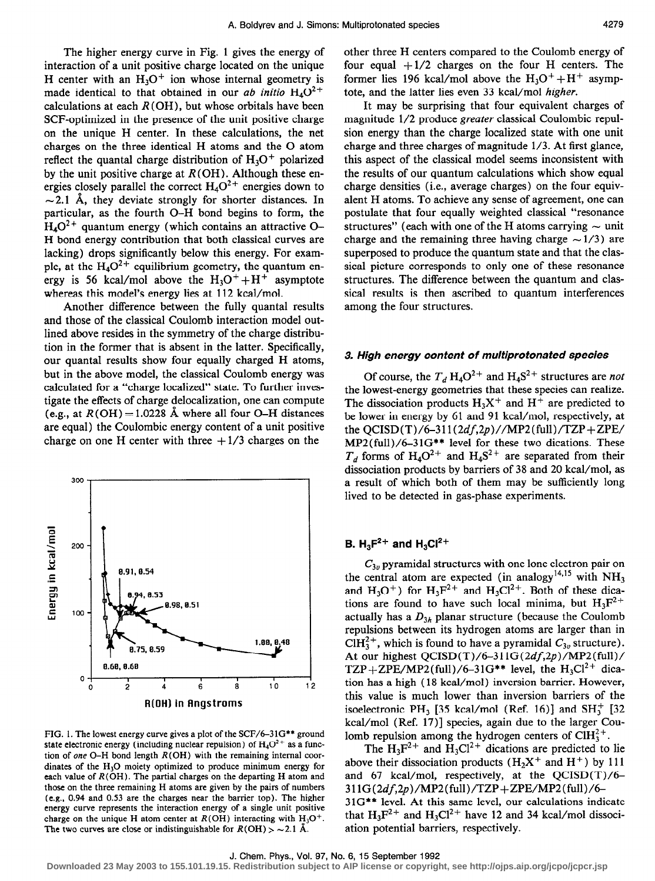The higher energy curve in Fig. 1 gives the energy of interaction of a unit positive charge located on the unique H center with an  $H_3O^+$  ion whose internal geometry is made identical to that obtained in our *ab initio*  $H_4O^{2+}$ calculations at each  $R(OH)$ , but whose orbitals have been SCF-optimized in the presence of the unit positive charge on the unique H center. In these calculations, the net charges on the three identical H atoms and the 0 atom reflect the quantal charge distribution of  $H_3O^+$  polarized by the unit positive charge at  $R(OH)$ . Although these energies closely parallel the correct  $H_4O^{2+}$  energies down to  $\sim$  2.1 Å, they deviate strongly for shorter distances. In particular, as the fourth O-H bond begins to form, the  $H_4O^{2+}$  quantum energy (which contains an attractive O-H bond energy contribution that both classical curves are lacking) drops significantly below this energy. For example, at the  $H_4O^2$ <sup>+</sup> equilibrium geometry, the quantum energy is 56 kcal/mol above the  $H_3O^+ + H^+$  asymptote whereas this model's energy lies at 112 kcal/mol.

Another difference between the fully quantal results and those of the classical Coulomb interaction model outlined above resides in the symmetry of the charge distribution in the former that is absent in the latter. Specifically, our quanta1 results show four equally charged H atoms, but in the above model, the classical Coulomb energy was calculated for a "charge localized" state. To further investigate the effects of charge delocalization, one can compute (e.g., at  $R(OH) = 1.0228$  Å where all four O–H distances are equal) the Coulombic energy content of a unit positive charge on one H center with three  $+1/3$  charges on the



FIG. 1. The lowest energy curve gives a plot of the SCF/6-31G\*\* ground state electronic energy (including nuclear repulsion) of  $H_4O^{2+}$  as a function of one O-H bond length  $R(OH)$  with the remaining internal coordinates of the H,O moiety optimized to produce minimum energy for each value of  $R(OH)$ . The partial charges on the departing H atom and those on the three remaining H atoms are given by the pairs of numbers (e.g., 0.94 and 0.53 are the charges near the barrier top). The higher energy curve represents the interaction energy of a single unit positive charge on the unique H atom center at  $R(OH)$  interacting with  $H_3O^+$ . The two curves are close or indistinguishable for  $R(OH) > -2.1$  Å.

other three H centers compared to the Coulomb energy of four equal  $+1/2$  charges on the four H centers. The former lies 196 kcal/mol above the  $H_3O^+ + H^+$  asymptote, and the latter lies even 33 kcal/mol higher.

It may be surprising that four equivalent charges of magnitude l/2 produce greater classical Coulombic repulsion energy than the charge localized state with one unit charge and three charges of magnitude l/3. At first glance, this aspect of the classical model seems inconsistent with the results of our quantum calculations which show equal charge densities (i.e., average charges) on the four equivalent H atoms. To achieve any sense of agreement, one can postulate that four equally weighted classical "resonance structures" (each with one of the H atoms carrying  $\sim$  unit charge and the remaining three having charge  $\sim$  1/3) are superposed to produce the quantum state and that the classical picture corresponds to only one of these resonance structures. The difference between the quantum and classical results is then ascribed to quantum interferences among the four structures.

#### 3. High energy content of multiprotonated species

Of course, the  $T_d$  H<sub>4</sub>O<sup>2+</sup> and H<sub>4</sub>S<sup>2+</sup> structures are not the lowest-energy geometries that these species can realize. The dissociation products  $H_3X^+$  and  $H^+$  are predicted to be lower in energy by 61 and 91 kcal/mol, respectively, at the  $QCISD(T)/6-311(2df,2p)/MP2(full)/TZP+ZPE/$ MP2(fu11)/6-31G\*\* level for these two dications. These  $T_d$  forms of H<sub>4</sub>O<sup>2+</sup> and H<sub>4</sub>S<sup>2+</sup> are separated from their dissociation products by barriers of 38 and 20 kcal/mol, as a result of which both of them may be sufficiently long lived to be detected in gas-phase experiments.

# **B.** H<sub>3</sub> $F^{2+}$  and H<sub>3</sub>Cl<sup>2+</sup>

 $C_{3n}$  pyramidal structures with one lone electron pair on the central atom are expected (in analogy<sup>14,15</sup> with  $NH<sub>3</sub>$ and  $H_3O^+$ ) for  $H_3F^{2+}$  and  $H_3Cl^{2+}$ . Both of these dications are found to have such local minima, but  $H_3F^{2+}$ actually has a  $D_{3h}$  planar structure (because the Coulomb repulsions between its hydrogen atoms are larger than in ClH<sup>2+</sup>, which is found to have a pyramidal  $C_{3v}$  structure). At our highest QCISD(T)/6-311G(2df,2p)/MP2(full)/ TZP + ZPE/MP2(full)/6-31G\*\* level, the  $H_3Cl^{2+}$  dication has a high ( 18 kcal/mol) inversion barrier. However, this value is much lower than inversion barriers of the isoelectronic PH<sub>3</sub> [35 kcal/mol (Ref. 16)] and SH $_3^+$  [32 kcal/mol (Ref. 17)] species, again due to the larger Coulomb repulsion among the hydrogen centers of  $\text{CH}_3^{2+}$ .

The  $H_3F^{2+}$  and  $H_3Cl^{2+}$  dications are predicted to lie above their dissociation products  $(H_2X^+$  and  $H^+)$  by 111 and 67 kcal/mol, respectively, at the QCISD(T)/6-  $311G(2df,2p)/MP2(full)/TZP+ZPE/MP2(full)/6-$ 31G\*\* level. At this same level, our calculations indicate that  $H_3F^{2+}$  and  $H_3Cl^{2+}$  have 12 and 34 kcal/mol dissociation potential barriers, respectively.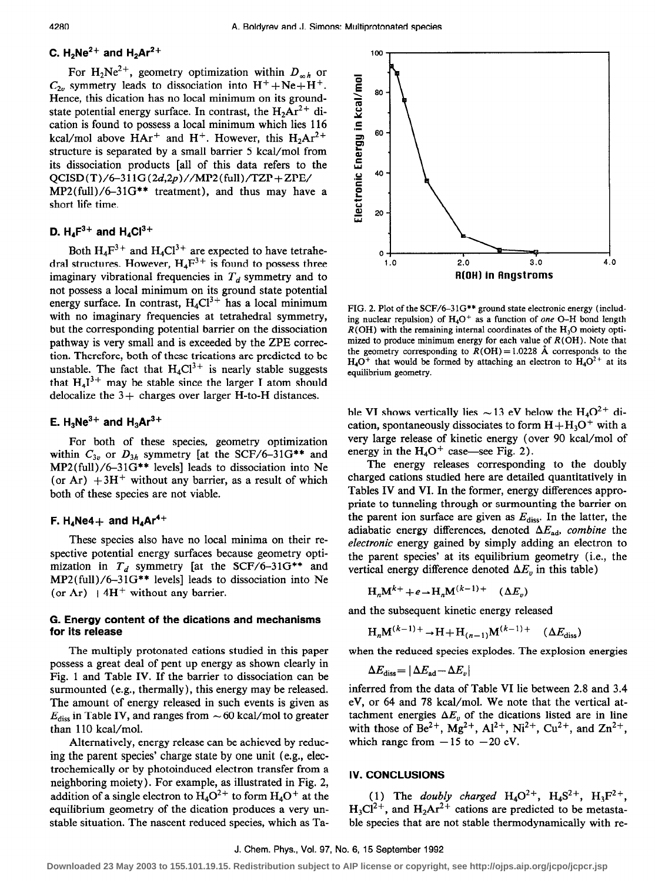100

# C. H $_2$ Ne $^{2+}$  and H $_2$ Ar $^{2+}$

For H<sub>2</sub>Ne<sup>2+</sup>, geometry optimization within  $D_{m,h}$  or  $C_{2n}$  symmetry leads to dissociation into  $H^+ + Ne + H^+$ . Hence, this dication has no local minimum on its groundstate potential energy surface. In contrast, the  $H_2Ar^{2+}$  dication is found to possess a local minimum which lies 116 kcal/mol above  $HAr^+$  and  $H^+$ . However, this  $H_2Ar^{2+}$ structure is separated by a small barrier 5 kcal/mol from its dissociation products [all of this data refers to the  $QCISD(T)/6-311G(2d,2p)/MP2(full)/TZP+ZPE/$  $MP2(full)/6-31G**$  treatment), and thus may have a short life time.

# D.  $H_4F^{3+}$  and  $H_4Cl^{3+}$

Both  $H_4F^3$ <sup>+</sup> and  $H_4Cl^3$ <sup>+</sup> are expected to have tetrahedral structures. However,  $H_4F^{3+}$  is found to possess three imaginary vibrational frequencies in  $T<sub>d</sub>$  symmetry and to not possess a local minimum on its ground state potential energy surface. In contrast,  $H_4Cl^{3+}$  has a local minimum with no imaginary frequencies at tetrahedral symmetry, but the corresponding potential barrier on the dissociation pathway is very small and is exceeded by the ZPE correction. Therefore, both of these trications are predicted to be unstable. The fact that  $H_4Cl^{3+}$  is nearly stable suggests that  $H_4I^{3+}$  may be stable since the larger I atom should delocalize the  $3+$  charges over larger H-to-H distances.

# E.  $H_3Ne^{3+}$  and  $H_3Ar^{3+}$

For both of these species, geometry optimization within  $C_{3v}$  or  $D_{3h}$  symmetry [at the SCF/6-31G\*\* and MP2(fu11)/6-3 lG\*\* levels] leads to dissociation into Ne (or Ar)  $+3H^+$  without any barrier, as a result of which both of these species are not viable.

#### F. H<sub>4</sub>Ne4 + and H<sub>4</sub>Ar<sup>4+</sup>

These species also have no local minima on their respective potential energy surfaces because geometry optimization in  $T<sub>d</sub>$  symmetry [at the SCF/6-31G\*\* and MP2(fu11)/6-31G\*\* levels] leads to dissociation into Ne (or Ar)  $+4H^+$  without any barrier.

#### G. Energy content of the dications and mechanisms for its release

The multiply protonated cations studied in this paper possess a great deal of pent up energy as shown clearly in Fig. 1 and Table IV. If the barrier to dissociation can be surmounted (e.g., thermally), this energy may be released. The amount of energy released in such events is given as  $E_{\text{diss}}$  in Table IV, and ranges from  $\sim$  60 kcal/mol to greater than 110 kcal/mol.

Alternatively, energy release can be achieved by reducing the parent species' charge state by one unit (e.g., electrochemically or by photoinduced electron transfer from a neighboring moiety). For example, as illustrated in Fig. 2, addition of a single electron to  $H_4O^2$ <sup>+</sup> to form  $H_4O^+$  at the equilibrium geometry of the dication produces a very unstable situation. The nascent reduced species, which as Ta-

60 40 20 Ō  $1.0$ 2.0 3.0  $4.0$ R(OH) in Angstroms FIG. 2. Plot of the SCF/6-31G\*\* ground state electronic energy (including nuclear repulsion) of  $H_4O^+$  as a function of one O-H bond length

 $R(OH)$  with the remaining internal coordinates of the  $H<sub>3</sub>O$  moiety optimized to produce minimum energy for each value of  $R(OH)$ . Note that the geometry corresponding to  $R(OH) = 1.0228$  Å corresponds to the  $H_4O^+$  that would be formed by attaching an electron to  $H_4O^{2+}$  at its equilibrium geometry.

ble VI shows vertically lies  $\sim$  13 eV below the H<sub>4</sub>O<sup>2+</sup> dication, spontaneously dissociates to form  $H + H<sub>3</sub>O<sup>+</sup>$  with a very large release of kinetic energy (over 90 kcal/mol of energy in the  $H_4O^+$  case—see Fig. 2).

The energy releases corresponding to the doubly charged cations studied here are detailed quantitatively in Tables IV and VI. In the former, energy differences appropriate to tunneling through or surmounting the barrier on the parent ion surface are given as  $E_{\text{diss}}$ . In the latter, the adiabatic energy differences, denoted  $\Delta E_{ad}$ , combine the electronic energy gained by simply adding an electron to the parent species' at its equilibrium geometry (i.e., the vertical energy difference denoted  $\Delta E_v$  in this table)

 $H_n M^{k+} + e \rightarrow H_n M^{(k-1)+}$  ( $\Delta E_n$ )

and the subsequent kinetic energy released

$$
H_nM^{(k-1)+} \to H + H_{(n-1)}M^{(k-1)+}
$$
 ( $\Delta E_{\text{diss}}$ )

when the reduced species explodes. The explosion energies

$$
\Delta E_{\rm diss}\!=\!|\Delta E_{\rm ad}\!-\!\Delta E_v|
$$

inferred from the data of Table VI lie between 2.8 and 3.4 eV, or 64 and 78 kcal/mol. We note that the vertical attachment energies  $\Delta E$ , of the dications listed are in line with those of  $Be^{2+}$ ,  $Mg^{2+}$ ,  $Al^{2+}$ ,  $Ni^{2+}$ ,  $Cu^{2+}$ , and  $Zn^{2+}$ , which range from  $-15$  to  $-20$  eV.

# IV. CONCLUSIONS

(1) The doubly charged  $H_4O^{2+}$ ,  $H_4S^{2+}$ ,  $H_3F^{2+}$ ,  $H_3Cl^{2+}$ , and  $H_2Ar^{2+}$  cations are predicted to be metastable species that are not stable thermodynamically with re-